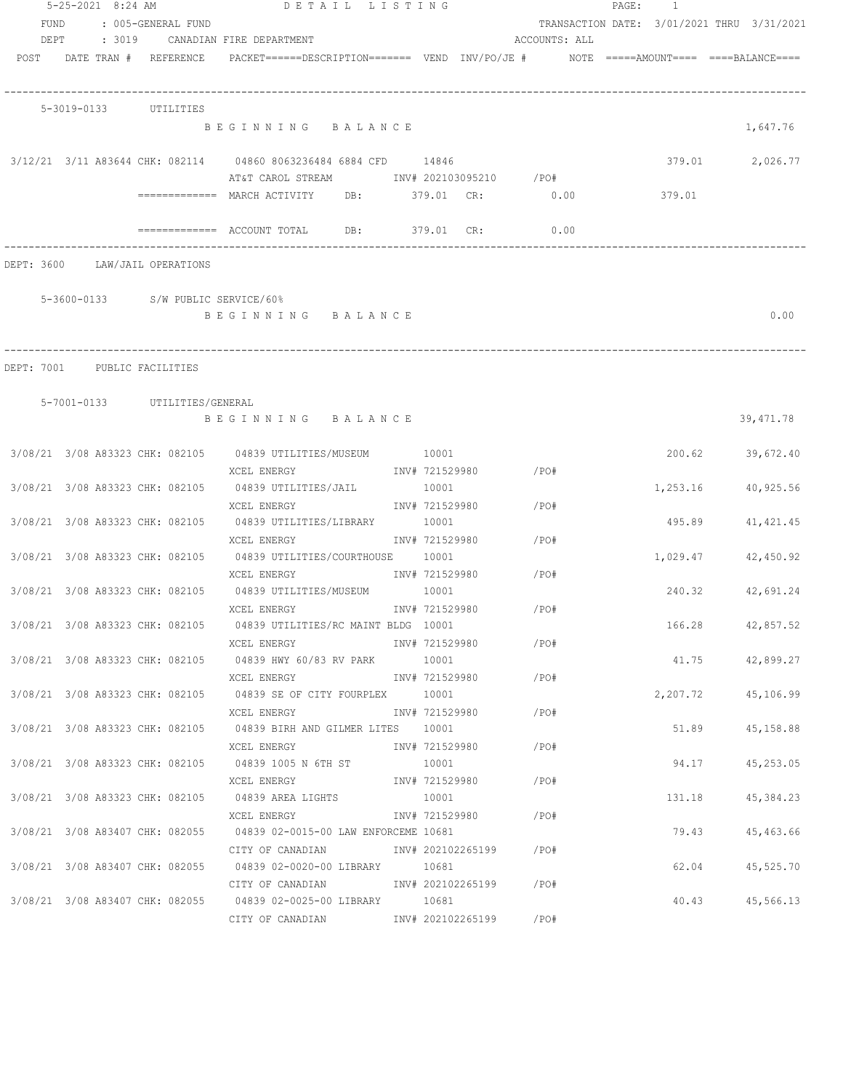|                                |                       |                               | 5-25-2021 8:24 AM DETAIL LISTING                                            |                |                        |               | PAGE: 1 |          |                                            |
|--------------------------------|-----------------------|-------------------------------|-----------------------------------------------------------------------------|----------------|------------------------|---------------|---------|----------|--------------------------------------------|
| FUND                           |                       | : 005-GENERAL FUND            |                                                                             |                |                        |               |         |          | TRANSACTION DATE: 3/01/2021 THRU 3/31/2021 |
| DEPT                           |                       |                               | : 3019 CANADIAN FIRE DEPARTMENT                                             |                |                        | ACCOUNTS: ALL |         |          |                                            |
| POST DATE TRAN # REFERENCE     |                       |                               |                                                                             |                |                        |               |         |          |                                            |
|                                | 5-3019-0133 UTILITIES |                               |                                                                             |                |                        |               |         |          |                                            |
|                                |                       |                               | BEGINNING BALANCE                                                           |                |                        |               |         |          | 1,647.76                                   |
|                                |                       |                               | 3/12/21 3/11 A83644 CHK: 082114 04860 8063236484 6884 CFD 14846             |                |                        |               |         |          | 379.01 2,026.77                            |
|                                |                       |                               | AT&T CAROL STREAM MOTHUTH 202103095210 / PO#                                |                |                        |               |         |          |                                            |
|                                |                       |                               | ============ MARCH ACTIVITY DB: 379.01 CR: 0.00                             |                |                        |               |         | 379.01   |                                            |
|                                |                       |                               |                                                                             |                |                        | 0.00          |         |          |                                            |
| DEPT: 3600 LAW/JAIL OPERATIONS |                       |                               |                                                                             |                |                        |               |         |          |                                            |
|                                |                       |                               | 5-3600-0133 S/W PUBLIC SERVICE/60%                                          |                |                        |               |         |          |                                            |
|                                |                       |                               | BEGINNING BALANCE                                                           |                |                        |               |         |          | 0.00                                       |
|                                |                       |                               |                                                                             |                |                        |               |         |          |                                            |
| DEPT: 7001 PUBLIC FACILITIES   |                       |                               |                                                                             |                |                        |               |         |          |                                            |
|                                |                       | 5-7001-0133 UTILITIES/GENERAL |                                                                             |                |                        |               |         |          |                                            |
|                                |                       |                               | BEGINNING BALANCE                                                           |                |                        |               |         |          | 39, 471.78                                 |
|                                |                       |                               | 3/08/21 3/08 A83323 CHK: 082105 04839 UTILITIES/MUSEUM 10001                |                |                        |               |         |          | 200.62 39,672.40                           |
|                                |                       |                               | XCEL ENERGY                                                                 |                | INV# 721529980 /PO#    |               |         |          |                                            |
|                                |                       |                               | 3/08/21 3/08 A83323 CHK: 082105 04839 UTILITIES/JAIL                        | 10001          |                        |               |         | 1,253.16 | 40,925.56                                  |
|                                |                       |                               | XCEL ENERGY                                                                 |                | INV# 721529980 / PO#   |               |         |          |                                            |
|                                |                       |                               | 3/08/21 3/08 A83323 CHK: 082105 04839 UTILITIES/LIBRARY                     | 10001          |                        |               |         | 495.89   | 41, 421.45                                 |
|                                |                       |                               | XCEL ENERGY                                                                 |                | INV# 721529980 / PO#   |               |         |          |                                            |
|                                |                       |                               | 3/08/21 3/08 A83323 CHK: 082105 04839 UTILITIES/COURTHOUSE 10001            |                | INV# 721529980 / PO#   |               |         | 1,029.47 | 42,450.92                                  |
|                                |                       |                               | XCEL ENERGY<br>3/08/21 3/08 A83323 CHK: 082105 04839 UTILITIES/MUSEUM 10001 |                |                        |               |         | 240.32   | 42,691.24                                  |
|                                |                       |                               | XCEL ENERGY                                                                 |                | INV# 721529980         | /PO#          |         |          |                                            |
|                                |                       |                               | 3/08/21 3/08 A83323 CHK: 082105 04839 UTILITIES/RC MAINT BLDG 10001         |                |                        |               |         |          | 166.28 42,857.52                           |
|                                |                       |                               | XCEL ENERGY                                                                 |                | INV# 721529980         | /PO#          |         |          |                                            |
|                                |                       |                               | 3/08/21 3/08 A83323 CHK: 082105 04839 HWY 60/83 RV PARK 10001               |                |                        |               |         |          | 41.75 42,899.27                            |
|                                |                       |                               | XCEL ENERGY                                                                 |                | INV# 721529980         | /PO#          |         |          |                                            |
|                                |                       |                               | 3/08/21 3/08 A83323 CHK: 082105 04839 SE OF CITY FOURPLEX 10001             |                |                        |               |         | 2,207.72 | 45,106.99                                  |
|                                |                       |                               | XCEL ENERGY                                                                 |                | INV# 721529980         | /PO#          |         |          |                                            |
|                                |                       |                               | 3/08/21 3/08 A83323 CHK: 082105 04839 BIRH AND GILMER LITES 10001           |                |                        |               |         | 51.89    | 45,158.88                                  |
|                                |                       |                               | XCEL ENERGY                                                                 |                | INV# 721529980         | /PO#          |         |          |                                            |
|                                |                       |                               | 3/08/21 3/08 A83323 CHK: 082105 04839 1005 N 6TH ST                         | 10001          |                        |               |         | 94.17    | 45,253.05                                  |
|                                |                       |                               | XCEL ENERGY                                                                 | INV# 721529980 |                        | /PO#          |         |          |                                            |
|                                |                       |                               | 3/08/21 3/08 A83323 CHK: 082105 04839 AREA LIGHTS                           | 10001          |                        |               |         | 131.18   | 45,384.23                                  |
|                                |                       |                               | XCEL ENERGY                                                                 | INV# 721529980 |                        | $/$ PO#       |         |          |                                            |
|                                |                       |                               | 3/08/21 3/08 A83407 CHK: 082055 04839 02-0015-00 LAW ENFORCEME 10681        |                |                        |               |         | 79.43    | 45,463.66                                  |
|                                |                       |                               | CITY OF CANADIAN 1NV# 202102265199 / PO#                                    |                |                        |               |         |          |                                            |
|                                |                       |                               | 3/08/21 3/08 A83407 CHK: 082055 04839 02-0020-00 LIBRARY 10681              |                |                        |               |         | 62.04    | 45,525.70                                  |
|                                |                       |                               | CITY OF CANADIAN 61 1NV# 202102265199 7PO#                                  |                |                        |               |         |          |                                            |
|                                |                       |                               | 3/08/21 3/08 A83407 CHK: 082055 04839 02-0025-00 LIBRARY 10681              |                |                        |               |         | 40.43    | 45,566.13                                  |
|                                |                       |                               | CITY OF CANADIAN                                                            |                | INV# 202102265199 /PO# |               |         |          |                                            |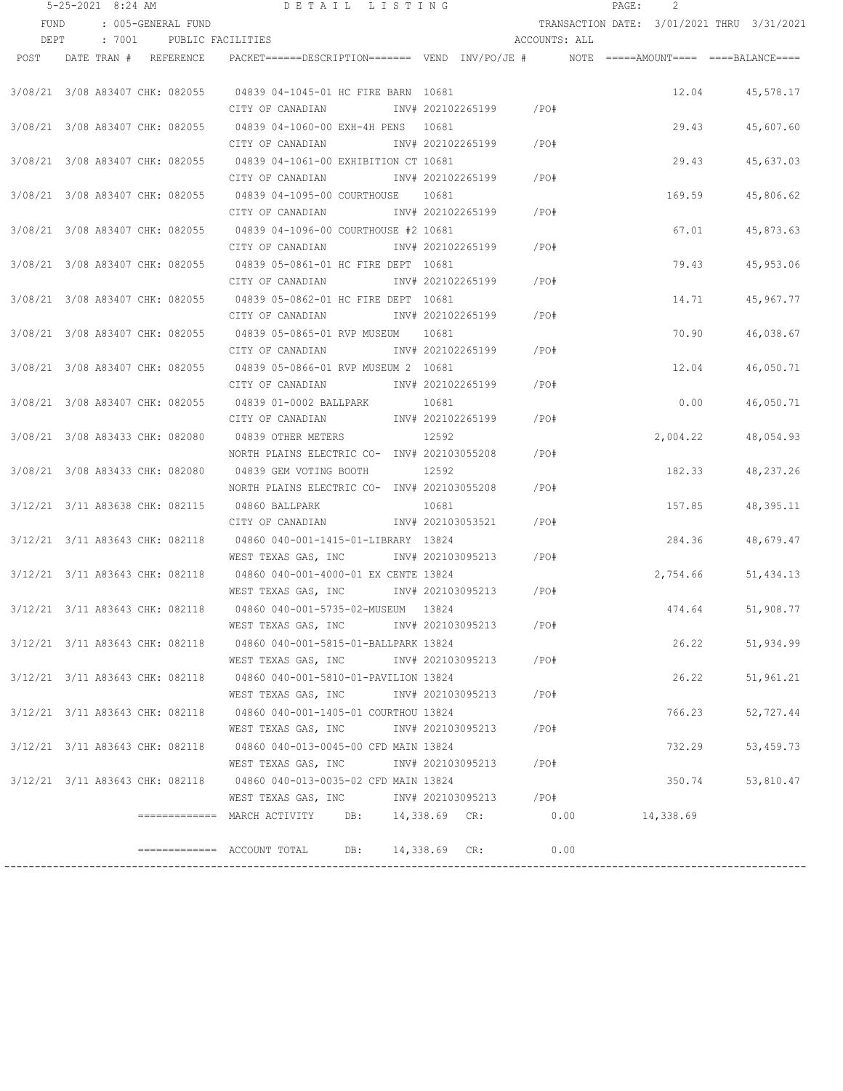|                                 | $5 - 25 - 2021$ 8:24 AM |                            | DETAIL LISTING                                                                           |                         |       |               | PAGE: | 2                                          |           |
|---------------------------------|-------------------------|----------------------------|------------------------------------------------------------------------------------------|-------------------------|-------|---------------|-------|--------------------------------------------|-----------|
| <b>FUND</b>                     |                         | : 005-GENERAL FUND         |                                                                                          |                         |       |               |       | TRANSACTION DATE: 3/01/2021 THRU 3/31/2021 |           |
| DEPT                            | : 7001                  |                            | PUBLIC FACILITIES                                                                        |                         |       | ACCOUNTS: ALL |       |                                            |           |
|                                 |                         | POST DATE TRAN # REFERENCE | PACKET======DESCRIPTION======= VEND INV/PO/JE #     NOTE =====AMOUNT==== ====BALANCE==== |                         |       |               |       |                                            |           |
|                                 |                         |                            |                                                                                          |                         |       |               |       |                                            |           |
| 3/08/21 3/08 A83407 CHK: 082055 |                         |                            | 04839 04-1045-01 HC FIRE BARN 10681                                                      |                         |       |               |       | 12.04                                      | 45,578.17 |
|                                 |                         |                            | CITY OF CANADIAN                                                                         | INV# 202102265199 / PO# |       |               |       |                                            |           |
| 3/08/21 3/08 A83407 CHK: 082055 |                         |                            | 04839 04-1060-00 EXH-4H PENS 10681                                                       |                         |       |               |       | 29.43                                      | 45,607.60 |
|                                 |                         |                            | CITY OF CANADIAN                                                                         | INV# 202102265199       | / PO# |               |       |                                            |           |
| 3/08/21 3/08 A83407 CHK: 082055 |                         |                            | 04839 04-1061-00 EXHIBITION CT 10681                                                     |                         |       |               |       | 29.43                                      | 45,637.03 |
|                                 |                         |                            | CITY OF CANADIAN MW# 202102265199                                                        |                         |       | /PO#          |       |                                            |           |
| 3/08/21 3/08 A83407 CHK: 082055 |                         |                            | 04839 04-1095-00 COURTHOUSE 10681                                                        |                         |       |               |       | 169.59                                     | 45,806.62 |
|                                 |                         |                            | CITY OF CANADIAN MOTHOM INV# 202102265199 / PO#                                          |                         |       |               |       |                                            |           |
|                                 |                         |                            | 3/08/21 3/08 A83407 CHK: 082055 04839 04-1096-00 COURTHOUSE #2 10681                     |                         |       |               |       | 67.01                                      | 45,873.63 |
|                                 |                         |                            | CITY OF CANADIAN MOTHOM INV# 202102265199 / PO#                                          |                         |       |               |       |                                            |           |
|                                 |                         |                            | 3/08/21 3/08 A83407 CHK: 082055 04839 05-0861-01 HC FIRE DEPT 10681                      |                         |       |               |       | 79.43                                      | 45,953.06 |
|                                 |                         |                            | CITY OF CANADIAN                                                                         | INV# 202102265199 /PO#  |       |               |       |                                            |           |
|                                 |                         |                            | 3/08/21 3/08 A83407 CHK: 082055 04839 05-0862-01 HC FIRE DEPT 10681                      |                         |       |               |       | 14.71                                      | 45,967.77 |
|                                 |                         |                            | CITY OF CANADIAN                                                                         | INV# 202102265199       |       | /PO#          |       |                                            |           |
| 3/08/21 3/08 A83407 CHK: 082055 |                         |                            | 04839 05-0865-01 RVP MUSEUM 10681                                                        |                         |       |               |       | 70.90                                      | 46,038.67 |
|                                 |                         |                            | CITY OF CANADIAN                                                                         | INV# 202102265199       |       | /PO#          |       |                                            |           |
| 3/08/21 3/08 A83407 CHK: 082055 |                         |                            | 04839 05-0866-01 RVP MUSEUM 2 10681                                                      |                         |       |               |       | 12.04                                      | 46,050.71 |
|                                 |                         |                            | CITY OF CANADIAN                                                                         | INV# 202102265199       |       | /PO#          |       |                                            |           |
| 3/08/21 3/08 A83407 CHK: 082055 |                         |                            | 04839 01-0002 BALLPARK                                                                   | 10681                   |       |               |       | 0.00                                       | 46,050.71 |
|                                 |                         |                            | CITY OF CANADIAN                                                                         | INV# 202102265199       |       | /PO#          |       |                                            |           |
| 3/08/21 3/08 A83433 CHK: 082080 |                         |                            | 04839 OTHER METERS                                                                       | 12592                   |       |               |       | 2,004.22                                   | 48,054.93 |
|                                 |                         |                            | NORTH PLAINS ELECTRIC CO- INV# 202103055208                                              |                         |       | /PO#          |       |                                            |           |
| 3/08/21 3/08 A83433 CHK: 082080 |                         |                            | 04839 GEM VOTING BOOTH                                                                   | 12592                   |       |               |       | 182.33                                     | 48,237.26 |
|                                 |                         |                            | NORTH PLAINS ELECTRIC CO- INV# 202103055208                                              |                         |       | /PO#          |       |                                            |           |
| 3/12/21 3/11 A83638 CHK: 082115 |                         |                            | 04860 BALLPARK                                                                           | 10681                   |       |               |       | 157.85                                     | 48,395.11 |
|                                 |                         |                            | CITY OF CANADIAN                                                                         | INV# 202103053521       |       | /PO#          |       |                                            |           |
| 3/12/21 3/11 A83643 CHK: 082118 |                         |                            | 04860 040-001-1415-01-LIBRARY 13824                                                      |                         |       |               |       | 284.36                                     | 48,679.47 |
|                                 |                         |                            | WEST TEXAS GAS, INC MONTH 202103095213                                                   |                         |       | /PO#          |       |                                            |           |
| 3/12/21 3/11 A83643 CHK: 082118 |                         |                            | 04860 040-001-4000-01 EX CENTE 13824                                                     |                         |       |               |       | 2,754.66                                   | 51,434.13 |
|                                 |                         |                            | WEST TEXAS GAS, INC MONTH 202103095213                                                   |                         | / PO# |               |       |                                            |           |
| 3/12/21 3/11 A83643 CHK: 082118 |                         |                            | 04860 040-001-5735-02-MUSEUM 13824                                                       |                         |       |               |       | 474.64                                     | 51,908.77 |
|                                 |                         |                            | WEST TEXAS GAS, INC 1NV# 202103095213 / PO#                                              |                         |       |               |       |                                            |           |
|                                 |                         |                            | 3/12/21 3/11 A83643 CHK: 082118 04860 040-001-5815-01-BALLPARK 13824                     |                         |       |               |       | 26.22                                      | 51,934.99 |
|                                 |                         |                            | WEST TEXAS GAS, INC                                                                      | INV# 202103095213 /PO#  |       |               |       |                                            |           |
|                                 |                         |                            | 3/12/21 3/11 A83643 CHK: 082118 04860 040-001-5810-01-PAVILION 13824                     |                         |       |               |       | 26.22                                      | 51,961.21 |
|                                 |                         |                            | WEST TEXAS GAS, INC                                                                      | INV# 202103095213       | / PO# |               |       |                                            |           |
|                                 |                         |                            | 3/12/21 3/11 A83643 CHK: 082118 04860 040-001-1405-01 COURTHOU 13824                     |                         |       |               |       | 766.23                                     | 52,727.44 |
|                                 |                         |                            | WEST TEXAS GAS, INC                                                                      | INV# 202103095213       |       | /PO#          |       |                                            |           |
| 3/12/21 3/11 A83643 CHK: 082118 |                         |                            | 04860 040-013-0045-00 CFD MAIN 13824                                                     |                         |       |               |       | 732.29                                     | 53,459.73 |
|                                 |                         |                            | WEST TEXAS GAS, INC 1NV# 202103095213 / PO#                                              |                         |       |               |       |                                            |           |
|                                 |                         |                            | 3/12/21 3/11 A83643 CHK: 082118 04860 040-013-0035-02 CFD MAIN 13824                     |                         |       |               |       | 350.74                                     | 53,810.47 |
|                                 |                         |                            | WEST TEXAS GAS, INC MOV# 202103095213 / PO#                                              |                         |       |               |       |                                            |           |
|                                 |                         |                            | ============= MARCH ACTIVITY DB: 14,338.69 CR: 0.00 14,338.69                            |                         |       |               |       |                                            |           |
|                                 |                         |                            |                                                                                          |                         |       |               |       |                                            |           |
|                                 |                         |                            | $\text{---}\text{---}\text{---}\text{---}$ ACCOUNT TOTAL DB: 14,338.69 CR:               |                         |       | 0.00          |       |                                            |           |
|                                 |                         |                            |                                                                                          |                         |       |               |       |                                            |           |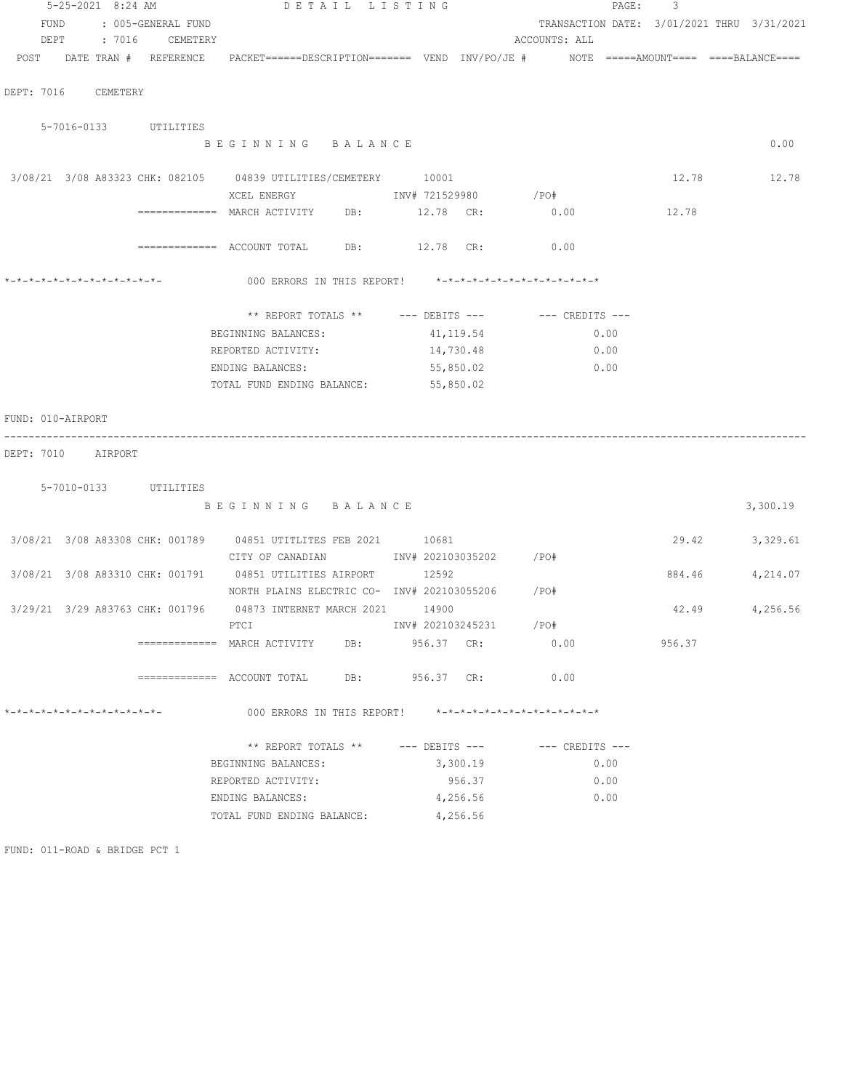|                                                   |          | 5-25-2021 8:24 AM |                                 |                                                                                          |     | DETAIL LISTING          |           |                               | PAGE: | 3      |                                            |
|---------------------------------------------------|----------|-------------------|---------------------------------|------------------------------------------------------------------------------------------|-----|-------------------------|-----------|-------------------------------|-------|--------|--------------------------------------------|
| FUND                                              |          |                   | : 005-GENERAL FUND              |                                                                                          |     |                         |           |                               |       |        | TRANSACTION DATE: 3/01/2021 THRU 3/31/2021 |
| DEPT                                              |          | : 7016            | CEMETERY                        |                                                                                          |     |                         |           | ACCOUNTS: ALL                 |       |        |                                            |
| POST                                              |          |                   | DATE TRAN # REFERENCE           | PACKET======DESCRIPTION======= VEND INV/PO/JE #     NOTE =====AMOUNT==== ====BALANCE==== |     |                         |           |                               |       |        |                                            |
|                                                   |          |                   |                                 |                                                                                          |     |                         |           |                               |       |        |                                            |
|                                                   |          |                   |                                 |                                                                                          |     |                         |           |                               |       |        |                                            |
| DEPT: 7016                                        | CEMETERY |                   |                                 |                                                                                          |     |                         |           |                               |       |        |                                            |
|                                                   |          |                   |                                 |                                                                                          |     |                         |           |                               |       |        |                                            |
|                                                   |          |                   | 5-7016-0133 UTILITIES           |                                                                                          |     |                         |           |                               |       |        |                                            |
|                                                   |          |                   |                                 | BEGINNING BALANCE                                                                        |     |                         |           |                               |       |        | 0.00                                       |
|                                                   |          |                   |                                 |                                                                                          |     |                         |           |                               |       |        |                                            |
|                                                   |          |                   |                                 | 3/08/21 3/08 A83323 CHK: 082105 04839 UTILITIES/CEMETERY 10001                           |     |                         |           |                               |       | 12.78  | 12.78                                      |
|                                                   |          |                   |                                 | XCEL ENERGY                                                                              |     | INV# 721529980          |           | /PO#                          |       |        |                                            |
|                                                   |          |                   |                                 | ============= MARCH ACTIVITY                                                             | DB: | 12.78 CR:               |           | 0.00                          |       | 12.78  |                                            |
|                                                   |          |                   |                                 |                                                                                          |     |                         |           |                               |       |        |                                            |
|                                                   |          |                   |                                 |                                                                                          |     | DB: 12.78 CR:           |           | 0.00                          |       |        |                                            |
|                                                   |          |                   |                                 |                                                                                          |     |                         |           |                               |       |        |                                            |
| $* - * - * - * - * - * - * - * - * - * - * - * -$ |          |                   |                                 | 000 ERRORS IN THIS REPORT! *-*-*-*-*-*-*-*-*-*-*-*-*-*-                                  |     |                         |           |                               |       |        |                                            |
|                                                   |          |                   |                                 |                                                                                          |     |                         |           |                               |       |        |                                            |
|                                                   |          |                   |                                 | ** REPORT TOTALS ** --- DEBITS --- -- -- CREDITS ---                                     |     |                         |           |                               |       |        |                                            |
|                                                   |          |                   |                                 |                                                                                          |     | 41,119.54               |           |                               | 0.00  |        |                                            |
|                                                   |          |                   |                                 | BEGINNING BALANCES:                                                                      |     |                         |           |                               |       |        |                                            |
|                                                   |          |                   |                                 | REPORTED ACTIVITY:                                                                       |     |                         | 14,730.48 |                               | 0.00  |        |                                            |
|                                                   |          |                   |                                 | ENDING BALANCES:                                                                         |     |                         | 55,850.02 |                               | 0.00  |        |                                            |
|                                                   |          |                   |                                 | TOTAL FUND ENDING BALANCE:                                                               |     |                         | 55,850.02 |                               |       |        |                                            |
|                                                   |          |                   |                                 |                                                                                          |     |                         |           |                               |       |        |                                            |
| FUND: 010-AIRPORT                                 |          |                   |                                 |                                                                                          |     |                         |           |                               |       |        |                                            |
|                                                   |          |                   |                                 |                                                                                          |     |                         |           |                               |       |        |                                            |
| DEPT: 7010 AIRPORT                                |          |                   |                                 |                                                                                          |     |                         |           |                               |       |        |                                            |
|                                                   |          |                   |                                 |                                                                                          |     |                         |           |                               |       |        |                                            |
|                                                   |          |                   | 5-7010-0133 UTILITIES           |                                                                                          |     |                         |           |                               |       |        |                                            |
|                                                   |          |                   |                                 | BEGINNING BALANCE                                                                        |     |                         |           |                               |       |        | 3,300.19                                   |
|                                                   |          |                   |                                 |                                                                                          |     |                         |           |                               |       |        |                                            |
|                                                   |          |                   |                                 | 3/08/21 3/08 A83308 CHK: 001789 04851 UTITLITES FEB 2021 10681                           |     |                         |           |                               |       | 29.42  | 3,329.61                                   |
|                                                   |          |                   |                                 | CITY OF CANADIAN                                                                         |     | INV# 202103035202 / PO# |           |                               |       |        |                                            |
|                                                   |          |                   |                                 | 3/08/21 3/08 A83310 CHK: 001791 04851 UTILITIES AIRPORT                                  |     | 12592                   |           |                               |       | 884.46 | 4,214.07                                   |
|                                                   |          |                   |                                 | NORTH PLAINS ELECTRIC CO- INV# 202103055206 / PO#                                        |     |                         |           |                               |       |        |                                            |
|                                                   |          |                   |                                 |                                                                                          |     |                         |           |                               |       |        |                                            |
|                                                   |          |                   | 3/29/21 3/29 A83763 CHK: 001796 | 04873 INTERNET MARCH 2021                                                                |     | 14900                   |           |                               |       | 42.49  | 4,256.56                                   |
|                                                   |          |                   |                                 | PTCI                                                                                     |     | INV# 202103245231       |           | /PO#                          |       |        |                                            |
|                                                   |          |                   |                                 | =============    MARCH  ACTIVITY                                                         | DB: | 956.37 CR:              |           | 0.00                          |       | 956.37 |                                            |
|                                                   |          |                   |                                 |                                                                                          |     |                         |           |                               |       |        |                                            |
|                                                   |          |                   |                                 |                                                                                          |     | DB: 956.37 CR:          |           | 0.00                          |       |        |                                            |
|                                                   |          |                   |                                 |                                                                                          |     |                         |           |                               |       |        |                                            |
| *-*-*-*-*-*-*-*-*-*-*-*-*-*-                      |          |                   |                                 | 000 ERRORS IN THIS REPORT!                                                               |     |                         |           | *-*-*-*-*-*-*-*-*-*-*-*-*-*-* |       |        |                                            |
|                                                   |          |                   |                                 |                                                                                          |     |                         |           |                               |       |        |                                            |
|                                                   |          |                   |                                 | ** REPORT TOTALS ** --- DEBITS --- -- CREDITS ---                                        |     |                         |           |                               |       |        |                                            |
|                                                   |          |                   |                                 | BEGINNING BALANCES:                                                                      |     |                         | 3,300.19  |                               | 0.00  |        |                                            |
|                                                   |          |                   |                                 | REPORTED ACTIVITY:                                                                       |     |                         | 956.37    |                               | 0.00  |        |                                            |
|                                                   |          |                   |                                 | ENDING BALANCES:                                                                         |     |                         | 4,256.56  |                               | 0.00  |        |                                            |
|                                                   |          |                   |                                 |                                                                                          |     |                         |           |                               |       |        |                                            |
|                                                   |          |                   |                                 | TOTAL FUND ENDING BALANCE:                                                               |     |                         | 4,256.56  |                               |       |        |                                            |
|                                                   |          |                   |                                 |                                                                                          |     |                         |           |                               |       |        |                                            |
| FUND: 011-ROAD & BRIDGE PCT 1                     |          |                   |                                 |                                                                                          |     |                         |           |                               |       |        |                                            |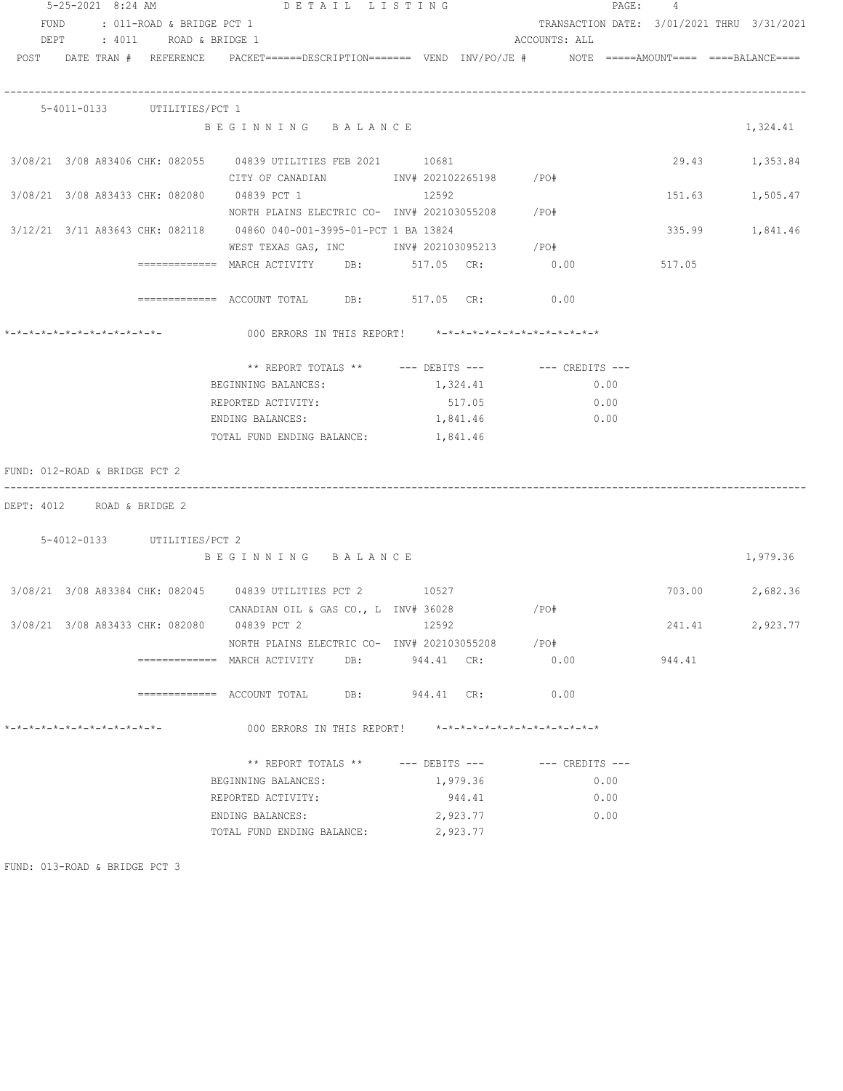| 5-25-2021 8:24 AM                                 |                                | DETAIL LISTING                                                                                    |                |               | PAGE: 4 |                                            |
|---------------------------------------------------|--------------------------------|---------------------------------------------------------------------------------------------------|----------------|---------------|---------|--------------------------------------------|
|                                                   | FUND : 011-ROAD & BRIDGE PCT 1 |                                                                                                   |                |               |         | TRANSACTION DATE: 3/01/2021 THRU 3/31/2021 |
|                                                   | DEPT : 4011 ROAD & BRIDGE 1    |                                                                                                   |                | ACCOUNTS: ALL |         |                                            |
|                                                   | POST DATE TRAN # REFERENCE     | PACKET======DESCRIPTION========  VEND  INV/PO/JE #         NOTE  =====AMOUNT====  ====BALANCE==== |                |               |         |                                            |
|                                                   |                                |                                                                                                   |                |               |         |                                            |
|                                                   |                                |                                                                                                   |                |               |         |                                            |
|                                                   | 5-4011-0133 UTILITIES/PCT 1    |                                                                                                   |                |               |         |                                            |
|                                                   |                                | BEGINNING BALANCE                                                                                 |                |               |         | 1,324.41                                   |
|                                                   |                                | 3/08/21 3/08 A83406 CHK: 082055 04839 UTILITIES FEB 2021 10681                                    |                |               |         | 29.43 1,353.84                             |
|                                                   |                                | CITY OF CANADIAN MW# 202102265198 /PO#                                                            |                |               |         |                                            |
|                                                   |                                | 3/08/21 3/08 A83433 CHK: 082080 04839 PCT 1                                                       | 12592          |               | 151.63  | 1,505.47                                   |
|                                                   |                                | NORTH PLAINS ELECTRIC CO- INV# 202103055208 /PO#                                                  |                |               |         |                                            |
|                                                   |                                | 3/12/21 3/11 A83643 CHK: 082118 04860 040-001-3995-01-PCT 1 BA 13824                              |                |               |         | 335.99 1,841.46                            |
|                                                   |                                | WEST TEXAS GAS, INC MONTH 202103095213 / PO#                                                      |                |               |         |                                            |
|                                                   |                                | ============ MARCH ACTIVITY DB: 517.05 CR: 0.00                                                   |                |               | 517.05  |                                            |
|                                                   |                                |                                                                                                   |                |               |         |                                            |
|                                                   |                                | ============ ACCOUNT TOTAL DB: 517.05 CR: 0.00                                                    |                |               |         |                                            |
|                                                   |                                | 000 ERRORS IN THIS REPORT! *-*-*-*-*-*-*-*-*-*-*-*-*-*-                                           |                |               |         |                                            |
|                                                   |                                |                                                                                                   |                |               |         |                                            |
|                                                   |                                | ** REPORT TOTALS ** --- DEBITS --- -- -- CREDITS ---                                              |                |               |         |                                            |
|                                                   |                                | BEGINNING BALANCES:                                                                               | 1,324.41       | 0.00          |         |                                            |
|                                                   |                                | REPORTED ACTIVITY:                                                                                | 517.05         | 0.00          |         |                                            |
|                                                   |                                | ENDING BALANCES:                                                                                  | 1,841.46       | 0.00          |         |                                            |
|                                                   |                                | TOTAL FUND ENDING BALANCE: 1,841.46                                                               |                |               |         |                                            |
| FUND: 012-ROAD & BRIDGE PCT 2                     |                                |                                                                                                   |                |               |         |                                            |
| DEPT: 4012 ROAD & BRIDGE 2                        |                                |                                                                                                   |                |               |         |                                            |
|                                                   |                                |                                                                                                   |                |               |         |                                            |
|                                                   | 5-4012-0133 UTILITIES/PCT 2    |                                                                                                   |                |               |         |                                            |
|                                                   |                                | BEGINNING BALANCE                                                                                 |                |               |         | 1,979.36                                   |
|                                                   |                                |                                                                                                   |                |               |         |                                            |
|                                                   |                                | 3/08/21 3/08 A83384 CHK: 082045 04839 UTILITIES PCT 2 10527                                       |                |               |         | 703.00 2,682.36                            |
|                                                   |                                | CANADIAN OIL & GAS CO., L INV# 36028                                                              |                | / PO#         |         |                                            |
|                                                   |                                | 3/08/21 3/08 A83433 CHK: 082080 04839 PCT 2                                                       | 12592          |               | 241.41  | 2,923.77                                   |
|                                                   |                                | NORTH PLAINS ELECTRIC CO- INV# 202103055208                                                       |                | /PO#          |         |                                            |
|                                                   |                                | ============= MARCH ACTIVITY                                                                      | DB: 944.41 CR: | 0.00          | 944.41  |                                            |
|                                                   |                                | $\texttt{-----} \texttt{-----}$ ACCOUNT TOTAL DB: 944.41 CR:                                      |                | 0.00          |         |                                            |
| $* - * - * - * - * - * - * - * - * - * - * - * -$ |                                | 000 ERRORS IN THIS REPORT! *-*-*-*-*-*-*-*-*-*-*-*-*-*-                                           |                |               |         |                                            |
|                                                   |                                | ** REPORT TOTALS ** --- DEBITS --- -- -- CREDITS ---                                              |                |               |         |                                            |
|                                                   |                                | BEGINNING BALANCES:                                                                               | 1,979.36       | 0.00          |         |                                            |
|                                                   |                                | REPORTED ACTIVITY:                                                                                | 944.41         | 0.00          |         |                                            |
|                                                   |                                | ENDING BALANCES:                                                                                  | 2,923.77       | 0.00          |         |                                            |
|                                                   |                                | TOTAL FUND ENDING BALANCE:                                                                        | 2,923.77       |               |         |                                            |
|                                                   |                                |                                                                                                   |                |               |         |                                            |

FUND: 013-ROAD & BRIDGE PCT 3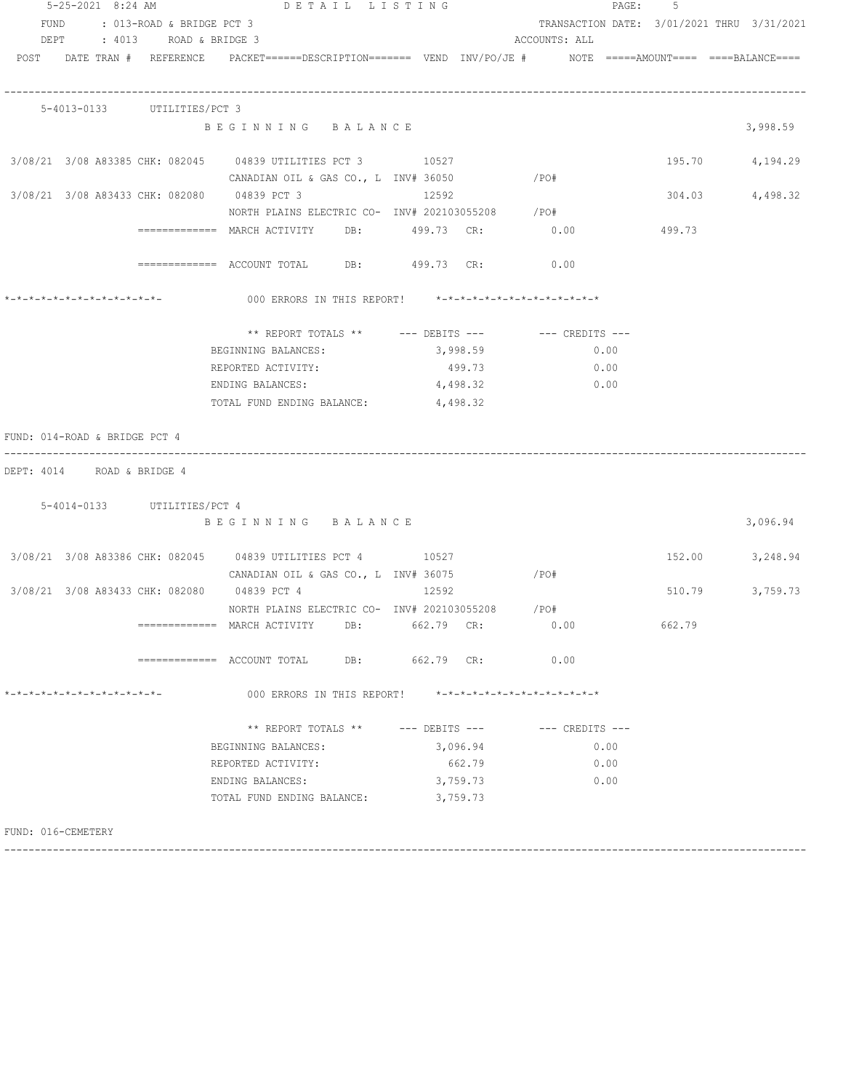| $5 - 25 - 2021$ 8:24 AM       |                                |                                                                                                                 | DETAIL LISTING     |          |                                                         | PAGE: 5 |                 |
|-------------------------------|--------------------------------|-----------------------------------------------------------------------------------------------------------------|--------------------|----------|---------------------------------------------------------|---------|-----------------|
|                               | FUND : 013-ROAD & BRIDGE PCT 3 |                                                                                                                 |                    |          | TRANSACTION DATE: 3/01/2021 THRU 3/31/2021              |         |                 |
|                               | DEPT : 4013 ROAD & BRIDGE 3    |                                                                                                                 |                    |          | ACCOUNTS: ALL                                           |         |                 |
|                               |                                | POST DATE TRAN # REFERENCE PACKET======DESCRIPTION======= VEND INV/PO/JE # NOTE =====AMOUNT==== ====BALANCE==== |                    |          |                                                         |         |                 |
|                               | 5-4013-0133 UTILITIES/PCT 3    |                                                                                                                 |                    |          |                                                         |         |                 |
|                               |                                | BEGINNING BALANCE                                                                                               |                    |          |                                                         |         | 3,998.59        |
|                               |                                | 3/08/21 3/08 A83385 CHK: 082045 04839 UTILITIES PCT 3 10527                                                     |                    |          |                                                         |         | 195.70 4,194.29 |
|                               |                                | CANADIAN OIL & GAS CO., L INV# 36050 $/$ PO#                                                                    |                    |          |                                                         |         |                 |
|                               |                                | 3/08/21 3/08 A83433 CHK: 082080 04839 PCT 3 12592<br>NORTH PLAINS ELECTRIC CO- INV# 202103055208 /PO#           |                    |          |                                                         |         | 304.03 4,498.32 |
|                               |                                |                                                                                                                 |                    |          |                                                         |         |                 |
|                               |                                |                                                                                                                 |                    |          |                                                         |         |                 |
|                               |                                | ============ ACCOUNT TOTAL DB: 499.73 CR: 0.00                                                                  |                    |          |                                                         |         |                 |
|                               |                                |                                                                                                                 |                    |          |                                                         |         |                 |
|                               |                                |                                                                                                                 |                    |          |                                                         |         |                 |
|                               |                                | BEGINNING BALANCES:                                                                                             |                    | 3,998.59 | 0.00                                                    |         |                 |
|                               |                                | REPORTED ACTIVITY:                                                                                              |                    | 499.73   | 0.00                                                    |         |                 |
|                               |                                | ENDING BALANCES: 4,498.32                                                                                       |                    |          | 0.00                                                    |         |                 |
|                               |                                | TOTAL FUND ENDING BALANCE: 4,498.32                                                                             |                    |          |                                                         |         |                 |
| FUND: 014-ROAD & BRIDGE PCT 4 |                                |                                                                                                                 |                    |          |                                                         |         |                 |
| DEPT: 4014 ROAD & BRIDGE 4    |                                |                                                                                                                 |                    |          |                                                         |         |                 |
|                               | 5-4014-0133 UTILITIES/PCT 4    |                                                                                                                 |                    |          |                                                         |         |                 |
|                               |                                | BEGINNING BALANCE                                                                                               |                    |          |                                                         |         | 3,096.94        |
|                               |                                | 3/08/21 3/08 A83386 CHK: 082045 04839 UTILITIES PCT 4 10527                                                     |                    |          |                                                         |         | 152.00 3,248.94 |
|                               |                                | CANADIAN OIL & GAS $CO.$ , L INV# 36075 / PO#                                                                   |                    |          |                                                         |         |                 |
|                               |                                | 3/08/21 3/08 A83433 CHK: 082080 04839 PCT 4 12592                                                               |                    |          |                                                         | 510.79  | 3,759.73        |
|                               |                                | NORTH PLAINS ELECTRIC CO- INV# 202103055208 /PO#                                                                |                    |          |                                                         |         |                 |
|                               |                                | ============= MARCH ACTIVITY<br>DB:                                                                             | 662.79 CR:         |          | 0.00                                                    | 662.79  |                 |
|                               |                                | ============= ACCOUNT TOTAL                                                                                     | DB:<br>662.79 CR:  |          | 0.00                                                    |         |                 |
| *-*-*-*-*-*-*-*-*-*-*-*-*-*-  |                                | 000 ERRORS IN THIS REPORT!                                                                                      |                    |          | $* - * - * - * - * - * - * - * - * - * - * - * - * - *$ |         |                 |
|                               |                                | ** REPORT TOTALS **                                                                                             | $---$ DEBITS $---$ |          | $---$ CREDITS $---$                                     |         |                 |
|                               |                                | BEGINNING BALANCES:                                                                                             |                    | 3,096.94 | 0.00                                                    |         |                 |
|                               |                                | REPORTED ACTIVITY:                                                                                              |                    | 662.79   | 0.00                                                    |         |                 |
|                               |                                | ENDING BALANCES:                                                                                                |                    | 3,759.73 | 0.00                                                    |         |                 |
|                               |                                | TOTAL FUND ENDING BALANCE:                                                                                      |                    | 3,759.73 |                                                         |         |                 |
|                               |                                |                                                                                                                 |                    |          |                                                         |         |                 |

------------------------------------------------------------------------------------------------------------------------------------

FUND: 016-CEMETERY